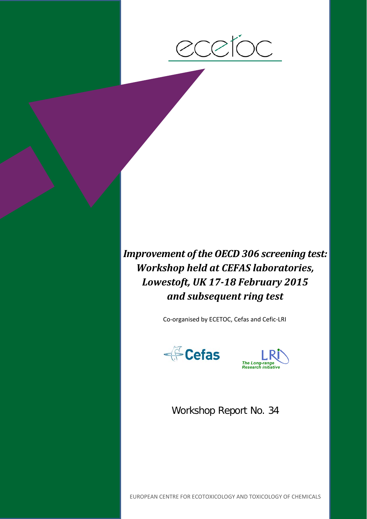

*Improvement of the OECD 306 screening test: Workshop held at CEFAS laboratories, Lowestoft, UK 17-18 February 2015 and subsequent ring test*

Co-organised by ECETOC, Cefas and Cefic-LRI





Workshop Report No. 34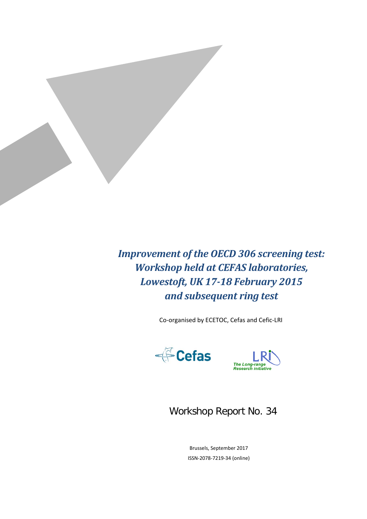

*Improvement of the OECD 306 screening test: Workshop held at CEFAS laboratories, Lowestoft, UK 17-18 February 2015 and subsequent ring test*

Co-organised by ECETOC, Cefas and Cefic-LRI





### Workshop Report No. 34

Brussels, September 2017 ISSN-2078-7219-34 (online)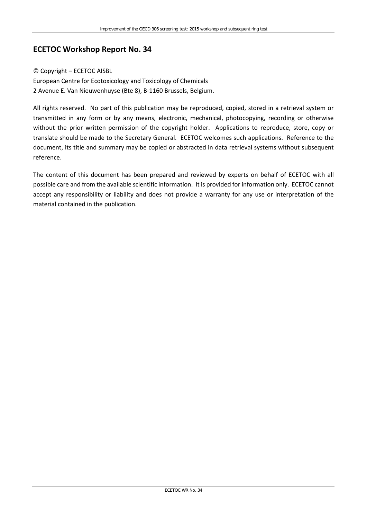#### **ECETOC Workshop Report No. 34**

#### © Copyright – ECETOC AISBL

European Centre for Ecotoxicology and Toxicology of Chemicals 2 Avenue E. Van Nieuwenhuyse (Bte 8), B-1160 Brussels, Belgium.

All rights reserved. No part of this publication may be reproduced, copied, stored in a retrieval system or transmitted in any form or by any means, electronic, mechanical, photocopying, recording or otherwise without the prior written permission of the copyright holder. Applications to reproduce, store, copy or translate should be made to the Secretary General. ECETOC welcomes such applications. Reference to the document, its title and summary may be copied or abstracted in data retrieval systems without subsequent reference.

The content of this document has been prepared and reviewed by experts on behalf of ECETOC with all possible care and from the available scientific information. It is provided for information only. ECETOC cannot accept any responsibility or liability and does not provide a warranty for any use or interpretation of the material contained in the publication.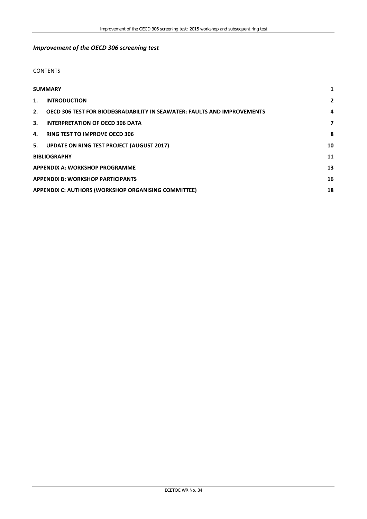#### *Improvement of the OECD 306 screening test*

#### **CONTENTS**

| <b>SUMMARY</b>                                                                |                                                     | 1            |  |
|-------------------------------------------------------------------------------|-----------------------------------------------------|--------------|--|
| <b>INTRODUCTION</b><br>1.                                                     |                                                     | $\mathbf{2}$ |  |
| OECD 306 TEST FOR BIODEGRADABILITY IN SEAWATER: FAULTS AND IMPROVEMENTS<br>2. |                                                     | 4            |  |
| 3.                                                                            | <b>INTERPRETATION OF OECD 306 DATA</b>              | 7            |  |
| 4.                                                                            | <b>RING TEST TO IMPROVE OECD 306</b>                | 8            |  |
|                                                                               | 5. UPDATE ON RING TEST PROJECT (AUGUST 2017)        | 10           |  |
| <b>BIBLIOGRAPHY</b>                                                           |                                                     | 11           |  |
| <b>APPENDIX A: WORKSHOP PROGRAMME</b>                                         |                                                     | 13           |  |
| <b>APPENDIX B: WORKSHOP PARTICIPANTS</b>                                      |                                                     | 16           |  |
|                                                                               | APPENDIX C: AUTHORS (WORKSHOP ORGANISING COMMITTEE) |              |  |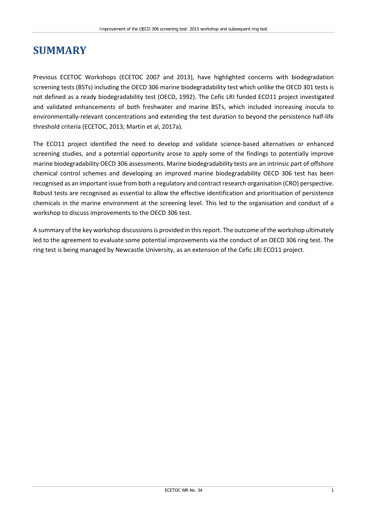### <span id="page-6-0"></span>**SUMMARY**

Previous ECETOC Workshops (ECETOC 2007 and 2013), have highlighted concerns with biodegradation screening tests (BSTs) including the OECD 306 marine biodegradability test which unlike the OECD 301 tests is not defined as a ready biodegradability test (OECD, 1992). The Cefic LRI funded ECO11 project investigated and validated enhancements of both freshwater and marine BSTs, which included increasing inocula to environmentally-relevant concentrations and extending the test duration to beyond the persistence half-life threshold criteria (ECETOC, 2013; Martin et al, 2017a).

The ECO11 project identified the need to develop and validate science-based alternatives or enhanced screening studies, and a potential opportunity arose to apply some of the findings to potentially improve marine biodegradability OECD 306 assessments. Marine biodegradability tests are an intrinsic part of offshore chemical control schemes and developing an improved marine biodegradability OECD 306 test has been recognised as an important issue from both a regulatory and contract research organisation (CRO) perspective. Robust tests are recognised as essential to allow the effective identification and prioritisation of persistence chemicals in the marine environment at the screening level. This led to the organisation and conduct of a workshop to discuss improvements to the OECD 306 test.

A summary of the key workshop discussions is provided in this report. The outcome of the workshop ultimately led to the agreement to evaluate some potential improvements via the conduct of an OECD 306 ring test. The ring test is being managed by Newcastle University, as an extension of the Cefic LRI ECO11 project.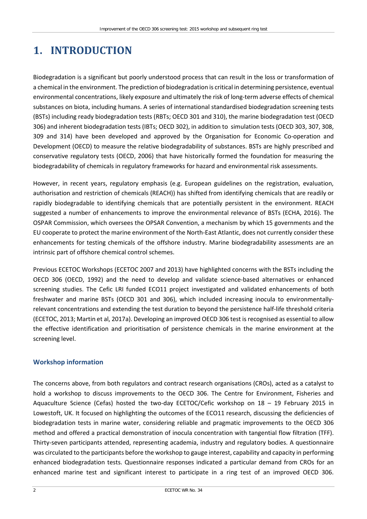# <span id="page-7-0"></span>**1. INTRODUCTION**

Biodegradation is a significant but poorly understood process that can result in the loss or transformation of a chemical in the environment. The prediction of biodegradation is critical in determining persistence, eventual environmental concentrations, likely exposure and ultimately the risk of long-term adverse effects of chemical substances on biota, including humans. A series of international standardised biodegradation screening tests (BSTs) including ready biodegradation tests (RBTs; OECD 301 and 310), the marine biodegradation test (OECD 306) and inherent biodegradation tests (IBTs; OECD 302), in addition to simulation tests (OECD 303, 307, 308, 309 and 314) have been developed and approved by the Organisation for Economic Co-operation and Development (OECD) to measure the relative biodegradability of substances. BSTs are highly prescribed and conservative regulatory tests (OECD, 2006) that have historically formed the foundation for measuring the biodegradability of chemicals in regulatory frameworks for hazard and environmental risk assessments.

However, in recent years, regulatory emphasis (e.g. European guidelines on the registration, evaluation, authorisation and restriction of chemicals (REACH)) has shifted from identifying chemicals that are readily or rapidly biodegradable to identifying chemicals that are potentially persistent in the environment. REACH suggested a number of enhancements to improve the environmental relevance of BSTs (ECHA, 2016). The OSPAR Commission, which oversees the OPSAR Convention, a mechanism by which 15 governments and the EU cooperate to protect the marine environment of the North-East Atlantic, does not currently consider these enhancements for testing chemicals of the offshore industry. Marine biodegradability assessments are an intrinsic part of offshore chemical control schemes.

Previous ECETOC Workshops (ECETOC 2007 and 2013) have highlighted concerns with the BSTs including the OECD 306 (OECD, 1992) and the need to develop and validate science-based alternatives or enhanced screening studies. The Cefic LRI funded ECO11 project investigated and validated enhancements of both freshwater and marine BSTs (OECD 301 and 306), which included increasing inocula to environmentallyrelevant concentrations and extending the test duration to beyond the persistence half-life threshold criteria (ECETOC, 2013; Martin et al, 2017a). Developing an improved OECD 306 test is recognised as essential to allow the effective identification and prioritisation of persistence chemicals in the marine environment at the screening level.

#### **Workshop information**

The concerns above, from both regulators and contract research organisations (CROs), acted as a catalyst to hold a workshop to discuss improvements to the OECD 306. The Centre for Environment, Fisheries and Aquaculture Science (Cefas) hosted the two-day ECETOC/Cefic workshop on 18 – 19 February 2015 in Lowestoft, UK. It focused on highlighting the outcomes of the ECO11 research, discussing the deficiencies of biodegradation tests in marine water, considering reliable and pragmatic improvements to the OECD 306 method and offered a practical demonstration of inocula concentration with tangential flow filtration (TFF). Thirty-seven participants attended, representing academia, industry and regulatory bodies. A questionnaire was circulated to the participants before the workshop to gauge interest, capability and capacity in performing enhanced biodegradation tests. Questionnaire responses indicated a particular demand from CROs for an enhanced marine test and significant interest to participate in a ring test of an improved OECD 306.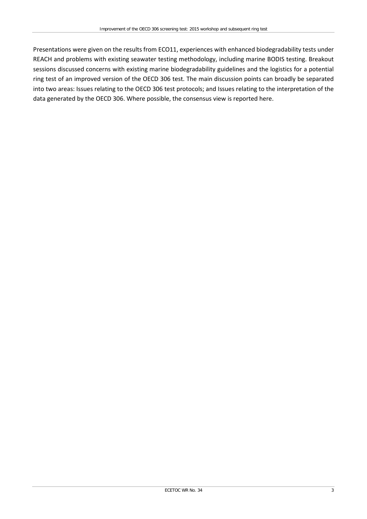Presentations were given on the results from ECO11, experiences with enhanced biodegradability tests under REACH and problems with existing seawater testing methodology, including marine BODIS testing. Breakout sessions discussed concerns with existing marine biodegradability guidelines and the logistics for a potential ring test of an improved version of the OECD 306 test. The main discussion points can broadly be separated into two areas: Issues relating to the OECD 306 test protocols; and Issues relating to the interpretation of the data generated by the OECD 306. Where possible, the consensus view is reported here.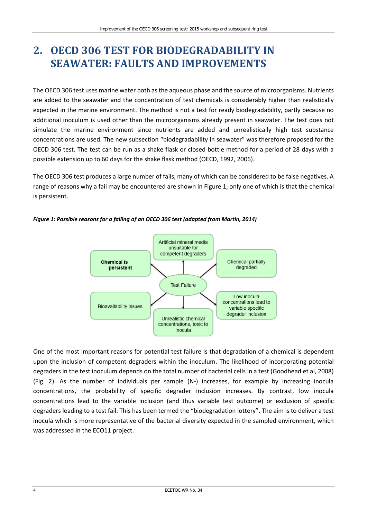# <span id="page-9-0"></span>**2. OECD 306 TEST FOR BIODEGRADABILITY IN SEAWATER: FAULTS AND IMPROVEMENTS**

The OECD 306 test uses marine water both as the aqueous phase and the source of microorganisms. Nutrients are added to the seawater and the concentration of test chemicals is considerably higher than realistically expected in the marine environment. The method is not a test for ready biodegradability, partly because no additional inoculum is used other than the microorganisms already present in seawater. The test does not simulate the marine environment since nutrients are added and unrealistically high test substance concentrations are used. The new subsection "biodegradability in seawater" was therefore proposed for the OECD 306 test. The test can be run as a shake flask or closed bottle method for a period of 28 days with a possible extension up to 60 days for the shake flask method (OECD, 1992, 2006).

The OECD 306 test produces a large number of fails, many of which can be considered to be false negatives. A range of reasons why a fail may be encountered are shown in Figure 1, only one of which is that the chemical is persistent.



*Figure 1: Possible reasons for a failing of an OECD 306 test (adapted from Martin, 2014)*

One of the most important reasons for potential test failure is that degradation of a chemical is dependent upon the inclusion of competent degraders within the inoculum. The likelihood of incorporating potential degraders in the test inoculum depends on the total number of bacterial cells in a test (Goodhead et al, 2008) (Fig. 2). As the number of individuals per sample  $(N_T)$  increases, for example by increasing inocula concentrations, the probability of specific degrader inclusion increases. By contrast, low inocula concentrations lead to the variable inclusion (and thus variable test outcome) or exclusion of specific degraders leading to a test fail. This has been termed the "biodegradation lottery". The aim is to deliver a test inocula which is more representative of the bacterial diversity expected in the sampled environment, which was addressed in the ECO11 project.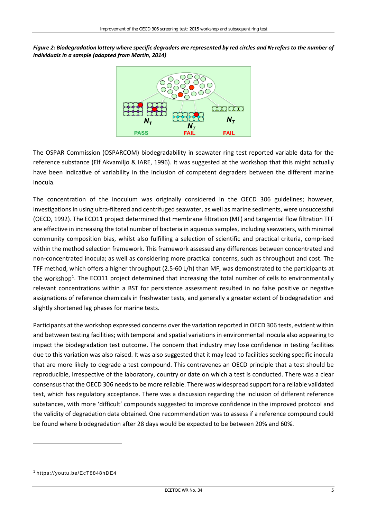*Figure 2: Biodegradation lottery where specific degraders are represented by red circles and N<sub>T</sub> refers to the number of individuals in a sample (adapted from Martin, 2014)*



The OSPAR Commission (OSPARCOM) biodegradability in seawater ring test reported variable data for the reference substance (Elf Akvamiljo & IARE, 1996). It was suggested at the workshop that this might actually have been indicative of variability in the inclusion of competent degraders between the different marine inocula.

The concentration of the inoculum was originally considered in the OECD 306 guidelines; however, investigations in using ultra-filtered and centrifuged seawater, as well as marine sediments, were unsuccessful (OECD, 1992). The ECO11 project determined that membrane filtration (MF) and tangential flow filtration TFF are effective in increasing the total number of bacteria in aqueous samples, including seawaters, with minimal community composition bias, whilst also fulfilling a selection of scientific and practical criteria, comprised within the method selection framework. This framework assessed any differences between concentrated and non-concentrated inocula; as well as considering more practical concerns, such as throughput and cost. The TFF method, which offers a higher throughput (2.5-60 L/h) than MF, was demonstrated to the participants at the workshop<sup>[1](#page-10-0)</sup>. The ECO11 project determined that increasing the total number of cells to environmentally relevant concentrations within a BST for persistence assessment resulted in no false positive or negative assignations of reference chemicals in freshwater tests, and generally a greater extent of biodegradation and slightly shortened lag phases for marine tests.

Participants at the workshop expressed concerns over the variation reported in OECD 306 tests, evident within and between testing facilities; with temporal and spatial variations in environmental inocula also appearing to impact the biodegradation test outcome. The concern that industry may lose confidence in testing facilities due to this variation was also raised. It was also suggested that it may lead to facilities seeking specific inocula that are more likely to degrade a test compound. This contravenes an OECD principle that a test should be reproducible, irrespective of the laboratory, country or date on which a test is conducted. There was a clear consensus that the OECD 306 needs to be more reliable. There was widespread support for a reliable validated test, which has regulatory acceptance. There was a discussion regarding the inclusion of different reference substances, with more 'difficult' compounds suggested to improve confidence in the improved protocol and the validity of degradation data obtained. One recommendation was to assess if a reference compound could be found where biodegradation after 28 days would be expected to be between 20% and 60%.

 $\overline{a}$ 

<span id="page-10-0"></span><sup>1</sup> <https://youtu.be/EcT8848hDE4>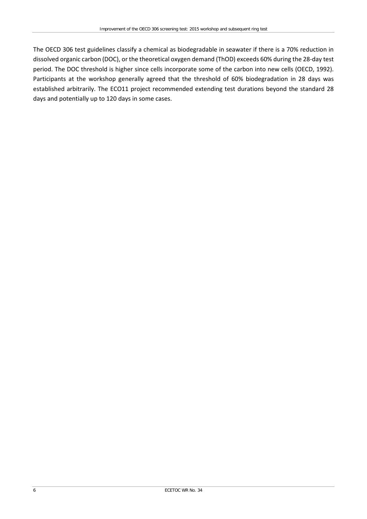The OECD 306 test guidelines classify a chemical as biodegradable in seawater if there is a 70% reduction in dissolved organic carbon (DOC), or the theoretical oxygen demand (ThOD) exceeds 60% during the 28-day test period. The DOC threshold is higher since cells incorporate some of the carbon into new cells (OECD, 1992). Participants at the workshop generally agreed that the threshold of 60% biodegradation in 28 days was established arbitrarily. The ECO11 project recommended extending test durations beyond the standard 28 days and potentially up to 120 days in some cases.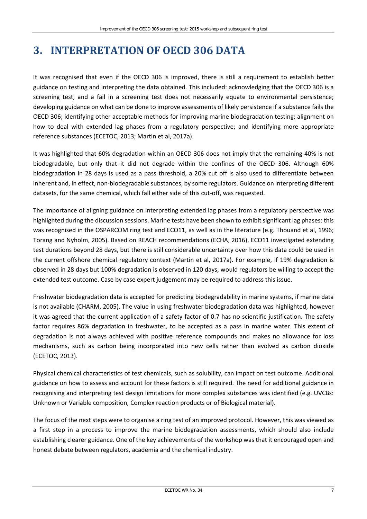# <span id="page-12-0"></span>**3. INTERPRETATION OF OECD 306 DATA**

It was recognised that even if the OECD 306 is improved, there is still a requirement to establish better guidance on testing and interpreting the data obtained. This included: acknowledging that the OECD 306 is a screening test, and a fail in a screening test does not necessarily equate to environmental persistence; developing guidance on what can be done to improve assessments of likely persistence if a substance fails the OECD 306; identifying other acceptable methods for improving marine biodegradation testing; alignment on how to deal with extended lag phases from a regulatory perspective; and identifying more appropriate reference substances (ECETOC, 2013; Martin et al, 2017a).

It was highlighted that 60% degradation within an OECD 306 does not imply that the remaining 40% is not biodegradable, but only that it did not degrade within the confines of the OECD 306. Although 60% biodegradation in 28 days is used as a pass threshold, a 20% cut off is also used to differentiate between inherent and, in effect, non-biodegradable substances, by some regulators. Guidance on interpreting different datasets, for the same chemical, which fall either side of this cut-off, was requested.

The importance of aligning guidance on interpreting extended lag phases from a regulatory perspective was highlighted during the discussion sessions. Marine tests have been shown to exhibit significant lag phases: this was recognised in the OSPARCOM ring test and ECO11, as well as in the literature (e.g. Thouand et al, 1996; Torang and Nyholm, 2005). Based on REACH recommendations (ECHA, 2016), ECO11 investigated extending test durations beyond 28 days, but there is still considerable uncertainty over how this data could be used in the current offshore chemical regulatory context (Martin et al, 2017a). For example, if 19% degradation is observed in 28 days but 100% degradation is observed in 120 days, would regulators be willing to accept the extended test outcome. Case by case expert judgement may be required to address this issue.

Freshwater biodegradation data is accepted for predicting biodegradability in marine systems, if marine data is not available (CHARM, 2005). The value in using freshwater biodegradation data was highlighted, however it was agreed that the current application of a safety factor of 0.7 has no scientific justification. The safety factor requires 86% degradation in freshwater, to be accepted as a pass in marine water. This extent of degradation is not always achieved with positive reference compounds and makes no allowance for loss mechanisms, such as carbon being incorporated into new cells rather than evolved as carbon dioxide (ECETOC, 2013).

Physical chemical characteristics of test chemicals, such as solubility, can impact on test outcome. Additional guidance on how to assess and account for these factors is still required. The need for additional guidance in recognising and interpreting test design limitations for more complex substances was identified (e.g. UVCBs: Unknown or Variable composition, Complex reaction products or of Biological material).

The focus of the next steps were to organise a ring test of an improved protocol. However, this was viewed as a first step in a process to improve the marine biodegradation assessments, which should also include establishing clearer guidance. One of the key achievements of the workshop was that it encouraged open and honest debate between regulators, academia and the chemical industry.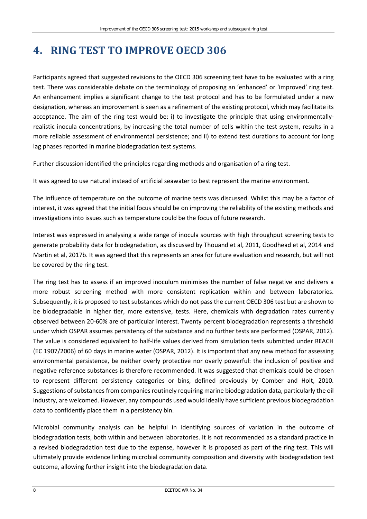## <span id="page-13-0"></span>**4. RING TEST TO IMPROVE OECD 306**

Participants agreed that suggested revisions to the OECD 306 screening test have to be evaluated with a ring test. There was considerable debate on the terminology of proposing an 'enhanced' or 'improved' ring test. An enhancement implies a significant change to the test protocol and has to be formulated under a new designation, whereas an improvement is seen as a refinement of the existing protocol, which may facilitate its acceptance. The aim of the ring test would be: i) to investigate the principle that using environmentallyrealistic inocula concentrations, by increasing the total number of cells within the test system, results in a more reliable assessment of environmental persistence; and ii) to extend test durations to account for long lag phases reported in marine biodegradation test systems.

Further discussion identified the principles regarding methods and organisation of a ring test.

It was agreed to use natural instead of artificial seawater to best represent the marine environment.

The influence of temperature on the outcome of marine tests was discussed. Whilst this may be a factor of interest, it was agreed that the initial focus should be on improving the reliability of the existing methods and investigations into issues such as temperature could be the focus of future research.

Interest was expressed in analysing a wide range of inocula sources with high throughput screening tests to generate probability data for biodegradation, as discussed by Thouand et al, 2011, Goodhead et al, 2014 and Martin et al, 2017b. It was agreed that this represents an area for future evaluation and research, but will not be covered by the ring test.

The ring test has to assess if an improved inoculum minimises the number of false negative and delivers a more robust screening method with more consistent replication within and between laboratories. Subsequently, it is proposed to test substances which do not pass the current OECD 306 test but are shown to be biodegradable in higher tier, more extensive, tests. Here, chemicals with degradation rates currently observed between 20-60% are of particular interest. Twenty percent biodegradation represents a threshold under which OSPAR assumes persistency of the substance and no further tests are performed (OSPAR, 2012). The value is considered equivalent to half-life values derived from simulation tests submitted under REACH (EC 1907/2006) of 60 days in marine water (OSPAR, 2012). It is important that any new method for assessing environmental persistence, be neither overly protective nor overly powerful: the inclusion of positive and negative reference substances is therefore recommended. It was suggested that chemicals could be chosen to represent different persistency categories or bins, defined previously by Comber and Holt, 2010. Suggestions of substances from companies routinely requiring marine biodegradation data, particularly the oil industry, are welcomed. However, any compounds used would ideally have sufficient previous biodegradation data to confidently place them in a persistency bin.

Microbial community analysis can be helpful in identifying sources of variation in the outcome of biodegradation tests, both within and between laboratories. It is not recommended as a standard practice in a revised biodegradation test due to the expense, however it is proposed as part of the ring test. This will ultimately provide evidence linking microbial community composition and diversity with biodegradation test outcome, allowing further insight into the biodegradation data.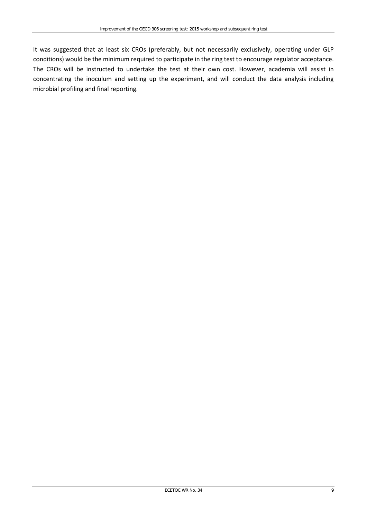It was suggested that at least six CROs (preferably, but not necessarily exclusively, operating under GLP conditions) would be the minimum required to participate in the ring test to encourage regulator acceptance. The CROs will be instructed to undertake the test at their own cost. However, academia will assist in concentrating the inoculum and setting up the experiment, and will conduct the data analysis including microbial profiling and final reporting.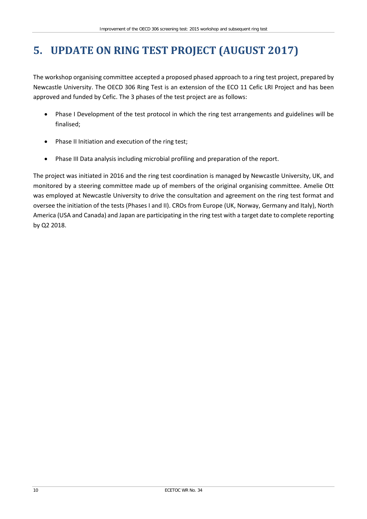# <span id="page-15-0"></span>**5. UPDATE ON RING TEST PROJECT (AUGUST 2017)**

The workshop organising committee accepted a proposed phased approach to a ring test project, prepared by Newcastle University. The OECD 306 Ring Test is an extension of the ECO 11 Cefic LRI Project and has been approved and funded by Cefic. The 3 phases of the test project are as follows:

- Phase I Development of the test protocol in which the ring test arrangements and guidelines will be finalised;
- Phase II Initiation and execution of the ring test;
- Phase III Data analysis including microbial profiling and preparation of the report.

The project was initiated in 2016 and the ring test coordination is managed by Newcastle University, UK, and monitored by a steering committee made up of members of the original organising committee. Amelie Ott was employed at Newcastle University to drive the consultation and agreement on the ring test format and oversee the initiation of the tests (Phases I and II). CROs from Europe (UK, Norway, Germany and Italy), North America (USA and Canada) and Japan are participating in the ring test with a target date to complete reporting by Q2 2018.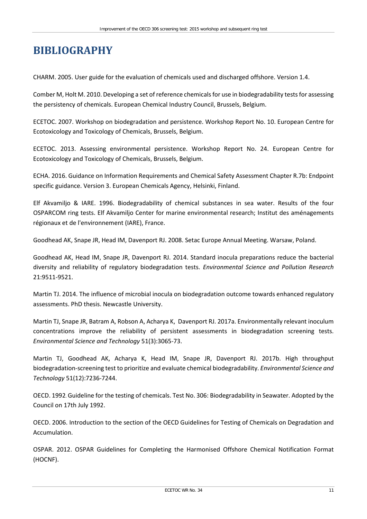### <span id="page-16-0"></span>**BIBLIOGRAPHY**

CHARM. 2005. User guide for the evaluation of chemicals used and discharged offshore. Version 1.4.

Comber M, Holt M. 2010. Developing a set of reference chemicals for use in biodegradability tests for assessing the persistency of chemicals. European Chemical Industry Council, Brussels, Belgium.

ECETOC. 2007. Workshop on biodegradation and persistence. Workshop Report No. 10. European Centre for Ecotoxicology and Toxicology of Chemicals, Brussels, Belgium.

ECETOC. 2013. Assessing environmental persistence. Workshop Report No. 24. European Centre for Ecotoxicology and Toxicology of Chemicals, Brussels, Belgium.

ECHA. 2016. Guidance on Information Requirements and Chemical Safety Assessment Chapter R.7b: Endpoint specific guidance. Version 3. European Chemicals Agency, Helsinki, Finland.

Elf Akvamiljo & IARE. 1996. Biodegradability of chemical substances in sea water. Results of the four OSPARCOM ring tests. Elf Akvamiljo Center for marine environmental research; Institut des aménagements régionaux et de l'environnement (IARE), France.

Goodhead AK, Snape JR, Head IM, Davenport RJ. 2008. Setac Europe Annual Meeting. Warsaw, Poland.

Goodhead AK, Head IM, Snape JR, Davenport RJ. 2014. Standard inocula preparations reduce the bacterial diversity and reliability of regulatory biodegradation tests. *Environmental Science and Pollution Research* 21:9511-9521.

Martin TJ. 2014. The influence of microbial inocula on biodegradation outcome towards enhanced regulatory assessments. PhD thesis. Newcastle University.

Martin TJ, Snape JR, Batram A, Robson A, Acharya K, Davenport RJ. 2017a. Environmentally relevant inoculum concentrations improve the reliability of persistent assessments in biodegradation screening tests. *Environmental Science and Technology* 51(3):3065-73.

Martin TJ, Goodhead AK, Acharya K, Head IM, Snape JR, Davenport RJ. 2017b. High throughput biodegradation-screening test to prioritize and evaluate chemical biodegradability. *Environmental Science and Technology* 51(12):7236-7244.

OECD. 1992. Guideline for the testing of chemicals. Test No. 306: Biodegradability in Seawater. Adopted by the Council on 17th July 1992.

OECD. 2006. Introduction to the section of the OECD Guidelines for Testing of Chemicals on Degradation and Accumulation.

OSPAR. 2012. OSPAR Guidelines for Completing the Harmonised Offshore Chemical Notification Format (HOCNF).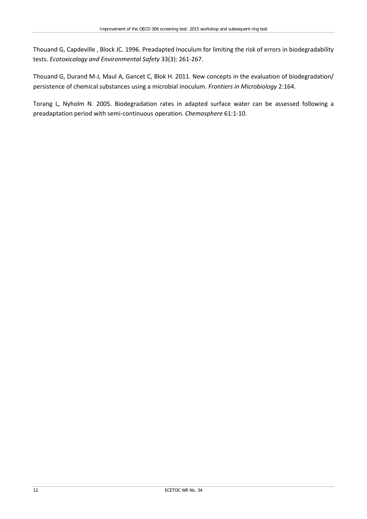Thouand G, Capdeville , Block JC. 1996. Preadapted Inoculum for limiting the risk of errors in biodegradability tests. *Ecotoxicology and Environmental Safety* 33(3): 261-267.

Thouand G, Durand M-J, Maul A, Gancet C, Blok H. 2011. New concepts in the evaluation of biodegradation/ persistence of chemical substances using a microbial inoculum. *Frontiers in Microbiology* 2:164.

Torang L, Nyholm N. 2005. Biodegradation rates in adapted surface water can be assessed following a preadaptation period with semi-continuous operation. *Chemosphere* 61:1-10.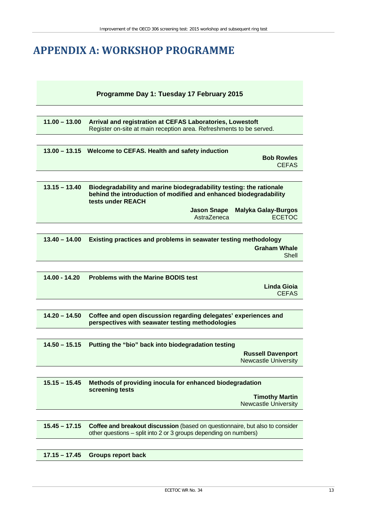### <span id="page-18-0"></span>**APPENDIX A: WORKSHOP PROGRAMME**

#### **Programme Day 1: Tuesday 17 February 2015**

| 11.00 - 13.00 Arrival and registration at CEFAS Laboratories, Lowestoft |  |
|-------------------------------------------------------------------------|--|
| Register on-site at main reception area. Refreshments to be served.     |  |

| 13.00 – 13.15 Welcome to CEFAS. Health and safety induction |                                   |
|-------------------------------------------------------------|-----------------------------------|
|                                                             | <b>Bob Rowles</b><br><b>CEFAS</b> |
|                                                             |                                   |

| $13.15 - 13.40$ | Biodegradability and marine biodegradability testing: the rationale<br>behind the introduction of modified and enhanced biodegradability<br>tests under REACH |                                 |
|-----------------|---------------------------------------------------------------------------------------------------------------------------------------------------------------|---------------------------------|
|                 |                                                                                                                                                               | Jason Snape Malyka Galay-Burgos |
|                 | AstraZeneca                                                                                                                                                   | <b>ECETOC</b>                   |

| $13.40 - 14.00$ | <b>Existing practices and problems in seawater testing methodology</b> |  |
|-----------------|------------------------------------------------------------------------|--|
|                 | <b>Graham Whale</b>                                                    |  |
|                 | Shell                                                                  |  |

| 14.00 - 14.20 | <b>Problems with the Marine BODIS test</b> |              |
|---------------|--------------------------------------------|--------------|
|               |                                            | Linda Gioja  |
|               |                                            | <b>CEFAS</b> |
|               |                                            |              |

**14.20 – 14.50 Coffee and open discussion regarding delegates' experiences and perspectives with seawater testing methodologies** 

| 14.50 – 15.15 Putting the "bio" back into biodegradation testing |                          |
|------------------------------------------------------------------|--------------------------|
|                                                                  | <b>Russell Davenport</b> |
|                                                                  | Newcastle University     |

| $15.15 - 15.45$ | Methods of providing inocula for enhanced biodegradation<br>screening tests |  |
|-----------------|-----------------------------------------------------------------------------|--|
|                 | <b>Timothy Martin</b><br>Newcastle University                               |  |
|                 |                                                                             |  |

**15.45 – 17.15 Coffee and breakout discussion** (based on questionnaire, but also to consider other questions – split into 2 or 3 groups depending on numbers)

**17.15 – 17.45 Groups report back**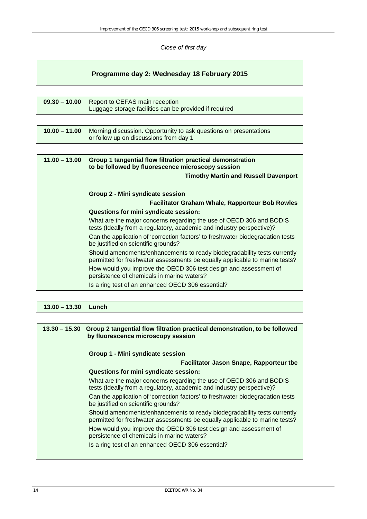*Close of first day*

#### **Programme day 2: Wednesday 18 February 2015**

| $09.30 - 10.00$ | Report to CEFAS main reception<br>Luggage storage facilities can be provided if required                                                                |  |
|-----------------|---------------------------------------------------------------------------------------------------------------------------------------------------------|--|
|                 |                                                                                                                                                         |  |
| $10.00 - 11.00$ | Morning discussion. Opportunity to ask questions on presentations<br>or follow up on discussions from day 1                                             |  |
|                 |                                                                                                                                                         |  |
| $11.00 - 13.00$ | Group 1 tangential flow filtration practical demonstration<br>to be followed by fluorescence microscopy session                                         |  |
|                 | <b>Timothy Martin and Russell Davenport</b>                                                                                                             |  |
|                 |                                                                                                                                                         |  |
|                 | Group 2 - Mini syndicate session                                                                                                                        |  |
|                 | <b>Facilitator Graham Whale, Rapporteur Bob Rowles</b>                                                                                                  |  |
|                 | Questions for mini syndicate session:                                                                                                                   |  |
|                 | What are the major concerns regarding the use of OECD 306 and BODIS<br>tests (Ideally from a regulatory, academic and industry perspective)?            |  |
|                 | Can the application of 'correction factors' to freshwater biodegradation tests<br>be justified on scientific grounds?                                   |  |
|                 | Should amendments/enhancements to ready biodegradability tests currently<br>permitted for freshwater assessments be equally applicable to marine tests? |  |
|                 | How would you improve the OECD 306 test design and assessment of<br>persistence of chemicals in marine waters?                                          |  |
|                 | Is a ring test of an enhanced OECD 306 essential?                                                                                                       |  |

#### **13.00 – 13.30 Lunch**

|                                  | 13.30 - 15.30 Group 2 tangential flow filtration practical demonstration, to be followed<br>by fluorescence microscopy session                          |  |
|----------------------------------|---------------------------------------------------------------------------------------------------------------------------------------------------------|--|
| Group 1 - Mini syndicate session |                                                                                                                                                         |  |
|                                  | <b>Facilitator Jason Snape, Rapporteur tbc</b>                                                                                                          |  |
|                                  | Questions for mini syndicate session:                                                                                                                   |  |
|                                  | What are the major concerns regarding the use of OECD 306 and BODIS<br>tests (Ideally from a regulatory, academic and industry perspective)?            |  |
|                                  | Can the application of 'correction factors' to freshwater biodegradation tests<br>be justified on scientific grounds?                                   |  |
|                                  | Should amendments/enhancements to ready biodegradability tests currently<br>permitted for freshwater assessments be equally applicable to marine tests? |  |
|                                  | How would you improve the OECD 306 test design and assessment of<br>persistence of chemicals in marine waters?                                          |  |
|                                  | Is a ring test of an enhanced OECD 306 essential?                                                                                                       |  |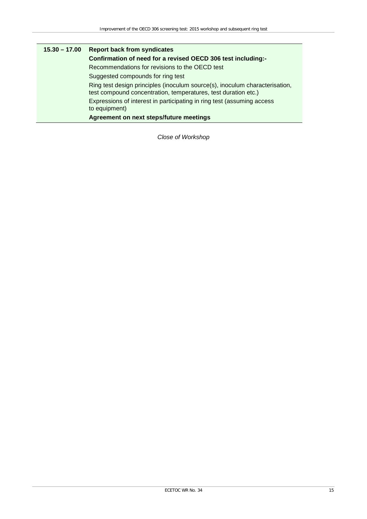| $15.30 - 17.00$ | <b>Report back from syndicates</b>                                                                                                            |
|-----------------|-----------------------------------------------------------------------------------------------------------------------------------------------|
|                 | Confirmation of need for a revised OECD 306 test including:-                                                                                  |
|                 | Recommendations for revisions to the OECD test                                                                                                |
|                 | Suggested compounds for ring test                                                                                                             |
|                 | Ring test design principles (inoculum source(s), inoculum characterisation,<br>test compound concentration, temperatures, test duration etc.) |
|                 | Expressions of interest in participating in ring test (assuming access<br>to equipment)                                                       |
|                 | Agreement on next steps/future meetings                                                                                                       |

*Close of Workshop*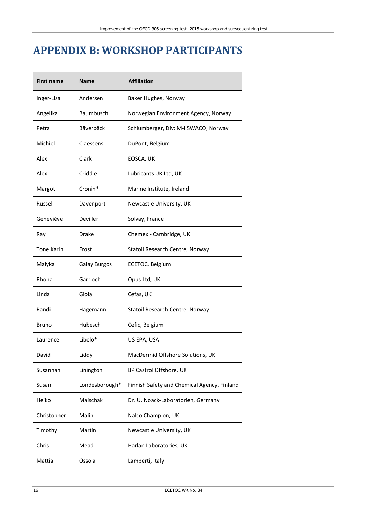## <span id="page-21-0"></span>**APPENDIX B: WORKSHOP PARTICIPANTS**

| <b>First name</b> | <b>Name</b>         | <b>Affiliation</b>                          |
|-------------------|---------------------|---------------------------------------------|
| Inger-Lisa        | Andersen            | Baker Hughes, Norway                        |
| Angelika          | Baumbusch           | Norwegian Environment Agency, Norway        |
| Petra             | Bäverbäck           | Schlumberger, Div: M-I SWACO, Norway        |
| Michiel           | Claessens           | DuPont, Belgium                             |
| Alex              | Clark               | EOSCA, UK                                   |
| Alex              | Criddle             | Lubricants UK Ltd, UK                       |
| Margot            | Cronin*             | Marine Institute, Ireland                   |
| Russell           | Davenport           | Newcastle University, UK                    |
| Geneviève         | Deviller            | Solvay, France                              |
| Ray               | Drake               | Chemex - Cambridge, UK                      |
| <b>Tone Karin</b> | Frost               | Statoil Research Centre, Norway             |
| Malyka            | <b>Galay Burgos</b> | ECETOC, Belgium                             |
| Rhona             | Garrioch            | Opus Ltd, UK                                |
| Linda             | Gioia               | Cefas, UK                                   |
| Randi             | Hagemann            | Statoil Research Centre, Norway             |
| Bruno             | Hubesch             | Cefic, Belgium                              |
| Laurence          | Libelo*             | US EPA, USA                                 |
| David             | Liddy               | MacDermid Offshore Solutions, UK            |
| Susannah          | Linington           | BP Castrol Offshore, UK                     |
| Susan             | Londesborough*      | Finnish Safety and Chemical Agency, Finland |
| Heiko             | Maischak            | Dr. U. Noack-Laboratorien, Germany          |
| Christopher       | Malin               | Nalco Champion, UK                          |
| Timothy           | Martin              | Newcastle University, UK                    |
| Chris             | Mead                | Harlan Laboratories, UK                     |
| Mattia            | Ossola              | Lamberti, Italy                             |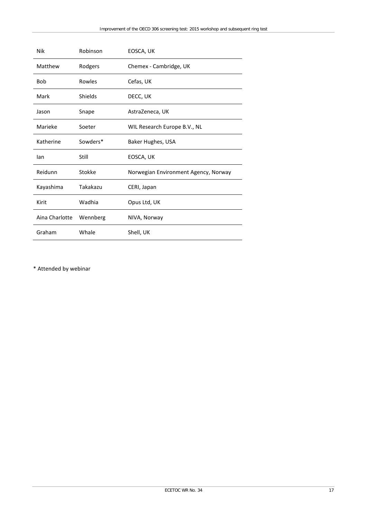| Nik            | Robinson | EOSCA, UK                            |
|----------------|----------|--------------------------------------|
| Matthew        | Rodgers  | Chemex - Cambridge, UK               |
| <b>Bob</b>     | Rowles   | Cefas, UK                            |
| Mark           | Shields  | DECC, UK                             |
| Jason          | Snape    | AstraZeneca, UK                      |
| Marieke        | Soeter   | WIL Research Europe B.V., NL         |
| Katherine      | Sowders* | Baker Hughes, USA                    |
| lan            | Still    | EOSCA, UK                            |
| Reidunn        | Stokke   | Norwegian Environment Agency, Norway |
| Kayashima      | Takakazu | CERI, Japan                          |
| Kirit          | Wadhia   | Opus Ltd, UK                         |
| Aina Charlotte | Wennberg | NIVA, Norway                         |
| Graham         | Whale    | Shell, UK                            |

\* Attended by webinar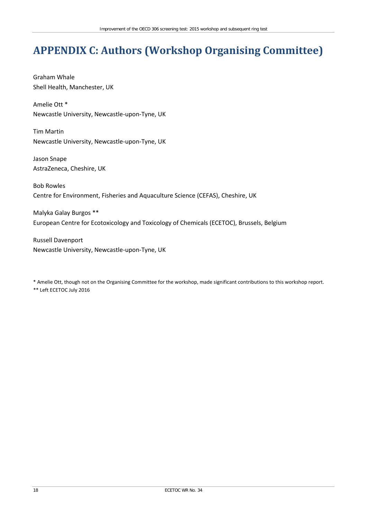# <span id="page-23-0"></span>**APPENDIX C: Authors (Workshop Organising Committee)**

Graham Whale Shell Health, Manchester, UK

Amelie Ott \* Newcastle University, Newcastle-upon-Tyne, UK

Tim Martin Newcastle University, Newcastle-upon-Tyne, UK

Jason Snape AstraZeneca, Cheshire, UK

Bob Rowles Centre for Environment, Fisheries and Aquaculture Science (CEFAS), Cheshire, UK

Malyka Galay Burgos \*\* European Centre for Ecotoxicology and Toxicology of Chemicals (ECETOC), Brussels, Belgium

Russell Davenport Newcastle University, Newcastle-upon-Tyne, UK

\* Amelie Ott, though not on the Organising Committee for the workshop, made significant contributions to this workshop report. \*\* Left ECETOC July 2016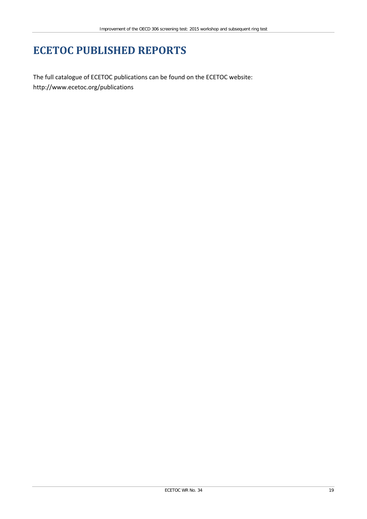## **ECETOC PUBLISHED REPORTS**

The full catalogue of ECETOC publications can be found on the ECETOC website: <http://www.ecetoc.org/publications>